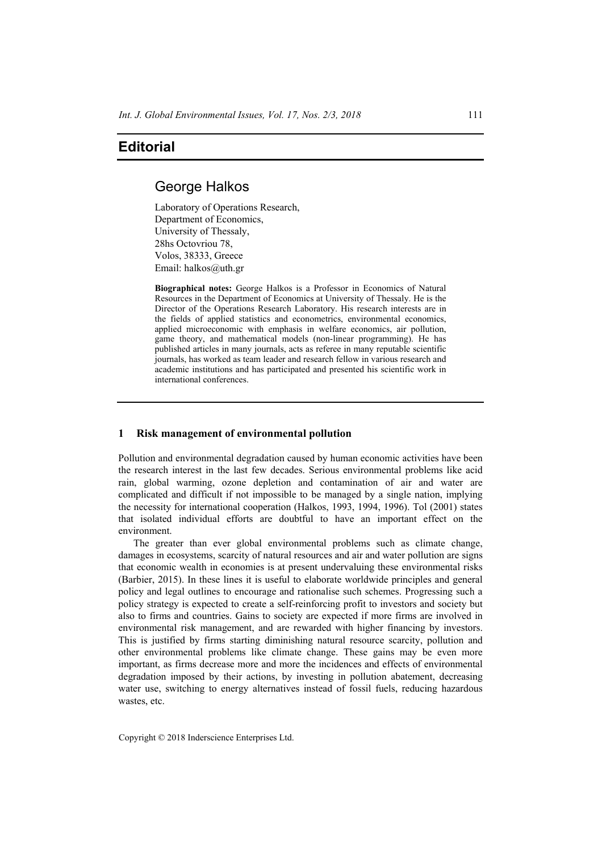# **Editorial**

# George Halkos

Laboratory of Operations Research, Department of Economics, University of Thessaly, 28hs Octovriou 78, Volos, 38333, Greece Email: halkos@uth.gr

**Biographical notes:** George Halkos is a Professor in Economics of Natural Resources in the Department of Economics at University of Thessaly. He is the Director of the Operations Research Laboratory. His research interests are in the fields of applied statistics and econometrics, environmental economics, applied microeconomic with emphasis in welfare economics, air pollution, game theory, and mathematical models (non-linear programming). He has published articles in many journals, acts as referee in many reputable scientific journals, has worked as team leader and research fellow in various research and academic institutions and has participated and presented his scientific work in international conferences.

#### **1 Risk management of environmental pollution**

Pollution and environmental degradation caused by human economic activities have been the research interest in the last few decades. Serious environmental problems like acid rain, global warming, ozone depletion and contamination of air and water are complicated and difficult if not impossible to be managed by a single nation, implying the necessity for international cooperation (Halkos, 1993, 1994, 1996). Tol (2001) states that isolated individual efforts are doubtful to have an important effect on the environment.

The greater than ever global environmental problems such as climate change, damages in ecosystems, scarcity of natural resources and air and water pollution are signs that economic wealth in economies is at present undervaluing these environmental risks (Barbier, 2015). In these lines it is useful to elaborate worldwide principles and general policy and legal outlines to encourage and rationalise such schemes. Progressing such a policy strategy is expected to create a self-reinforcing profit to investors and society but also to firms and countries. Gains to society are expected if more firms are involved in environmental risk management, and are rewarded with higher financing by investors. This is justified by firms starting diminishing natural resource scarcity, pollution and other environmental problems like climate change. These gains may be even more important, as firms decrease more and more the incidences and effects of environmental degradation imposed by their actions, by investing in pollution abatement, decreasing water use, switching to energy alternatives instead of fossil fuels, reducing hazardous wastes, etc.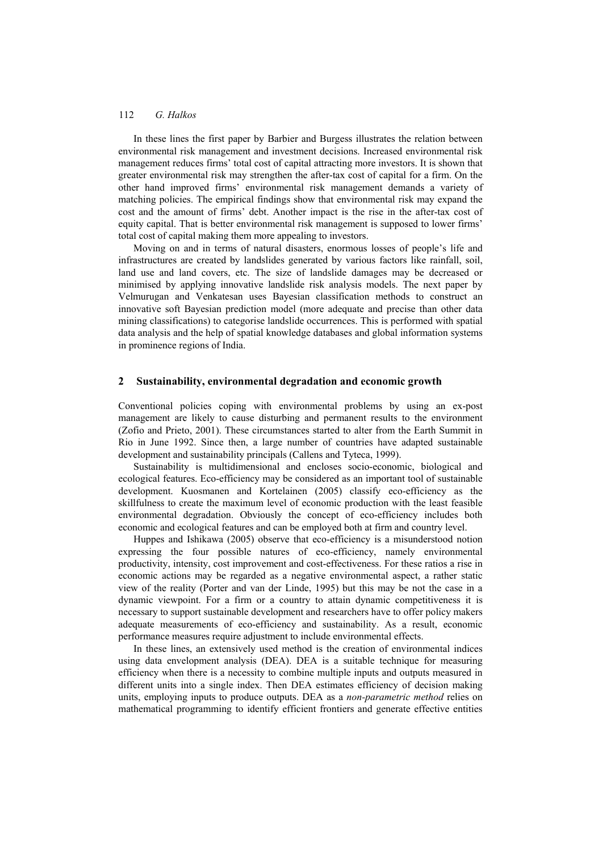#### 112 *G. Halkos*

In these lines the first paper by Barbier and Burgess illustrates the relation between environmental risk management and investment decisions. Increased environmental risk management reduces firms' total cost of capital attracting more investors. It is shown that greater environmental risk may strengthen the after-tax cost of capital for a firm. On the other hand improved firms' environmental risk management demands a variety of matching policies. The empirical findings show that environmental risk may expand the cost and the amount of firms' debt. Another impact is the rise in the after-tax cost of equity capital. That is better environmental risk management is supposed to lower firms' total cost of capital making them more appealing to investors.

Moving on and in terms of natural disasters, enormous losses of people's life and infrastructures are created by landslides generated by various factors like rainfall, soil, land use and land covers, etc. The size of landslide damages may be decreased or minimised by applying innovative landslide risk analysis models. The next paper by Velmurugan and Venkatesan uses Bayesian classification methods to construct an innovative soft Bayesian prediction model (more adequate and precise than other data mining classifications) to categorise landslide occurrences. This is performed with spatial data analysis and the help of spatial knowledge databases and global information systems in prominence regions of India.

## **2 Sustainability, environmental degradation and economic growth**

Conventional policies coping with environmental problems by using an ex-post management are likely to cause disturbing and permanent results to the environment (Zofio and Prieto, 2001). These circumstances started to alter from the Earth Summit in Rio in June 1992. Since then, a large number of countries have adapted sustainable development and sustainability principals (Callens and Tyteca, 1999).

Sustainability is multidimensional and encloses socio-economic, biological and ecological features. Eco-efficiency may be considered as an important tool of sustainable development. Kuosmanen and Kortelainen (2005) classify eco-efficiency as the skillfulness to create the maximum level of economic production with the least feasible environmental degradation. Obviously the concept of eco-efficiency includes both economic and ecological features and can be employed both at firm and country level.

Huppes and Ishikawa (2005) observe that eco-efficiency is a misunderstood notion expressing the four possible natures of eco-efficiency, namely environmental productivity, intensity, cost improvement and cost-effectiveness. For these ratios a rise in economic actions may be regarded as a negative environmental aspect, a rather static view of the reality (Porter and van der Linde, 1995) but this may be not the case in a dynamic viewpoint. For a firm or a country to attain dynamic competitiveness it is necessary to support sustainable development and researchers have to offer policy makers adequate measurements of eco-efficiency and sustainability. As a result, economic performance measures require adjustment to include environmental effects.

In these lines, an extensively used method is the creation of environmental indices using data envelopment analysis (DEA). DEA is a suitable technique for measuring efficiency when there is a necessity to combine multiple inputs and outputs measured in different units into a single index. Then DEA estimates efficiency of decision making units, employing inputs to produce outputs. DEA as a *non-parametric method* relies on mathematical programming to identify efficient frontiers and generate effective entities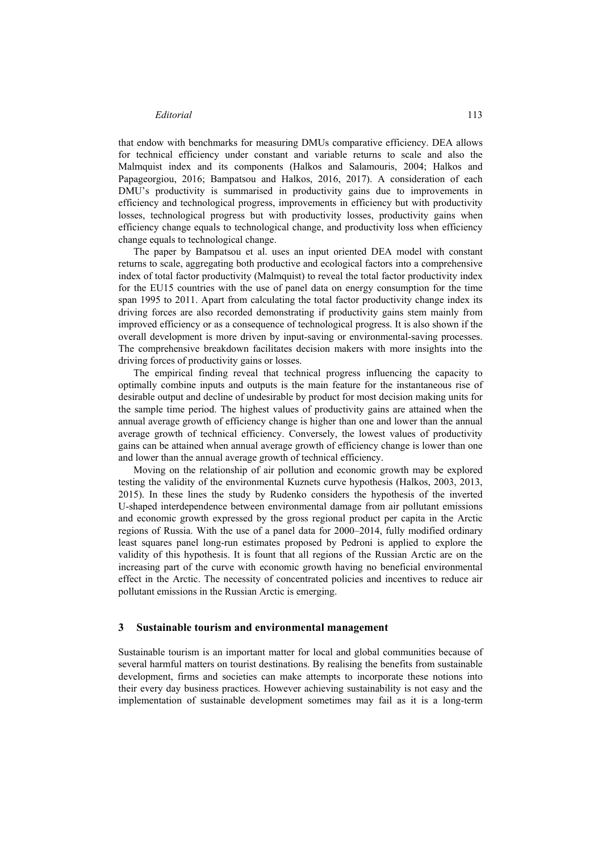#### *Editorial* 113

that endow with benchmarks for measuring DMUs comparative efficiency. DEA allows for technical efficiency under constant and variable returns to scale and also the Malmquist index and its components (Halkos and Salamouris, 2004; Halkos and Papageorgiou, 2016; Bampatsou and Halkos, 2016, 2017). A consideration of each DMU's productivity is summarised in productivity gains due to improvements in efficiency and technological progress, improvements in efficiency but with productivity losses, technological progress but with productivity losses, productivity gains when efficiency change equals to technological change, and productivity loss when efficiency change equals to technological change.

The paper by Bampatsou et al. uses an input oriented DEA model with constant returns to scale, aggregating both productive and ecological factors into a comprehensive index of total factor productivity (Malmquist) to reveal the total factor productivity index for the EU15 countries with the use of panel data on energy consumption for the time span 1995 to 2011. Apart from calculating the total factor productivity change index its driving forces are also recorded demonstrating if productivity gains stem mainly from improved efficiency or as a consequence of technological progress. It is also shown if the overall development is more driven by input-saving or environmental-saving processes. The comprehensive breakdown facilitates decision makers with more insights into the driving forces of productivity gains or losses.

The empirical finding reveal that technical progress influencing the capacity to optimally combine inputs and outputs is the main feature for the instantaneous rise of desirable output and decline of undesirable by product for most decision making units for the sample time period. The highest values of productivity gains are attained when the annual average growth of efficiency change is higher than one and lower than the annual average growth of technical efficiency. Conversely, the lowest values of productivity gains can be attained when annual average growth of efficiency change is lower than one and lower than the annual average growth of technical efficiency.

Moving on the relationship of air pollution and economic growth may be explored testing the validity of the environmental Kuznets curve hypothesis (Halkos, 2003, 2013, 2015). In these lines the study by Rudenko considers the hypothesis of the inverted U-shaped interdependence between environmental damage from air pollutant emissions and economic growth expressed by the gross regional product per capita in the Arctic regions of Russia. With the use of a panel data for 2000–2014, fully modified ordinary least squares panel long-run estimates proposed by Pedroni is applied to explore the validity of this hypothesis. It is fount that all regions of the Russian Arctic are on the increasing part of the curve with economic growth having no beneficial environmental effect in the Arctic. The necessity of concentrated policies and incentives to reduce air pollutant emissions in the Russian Arctic is emerging.

#### **3 Sustainable tourism and environmental management**

Sustainable tourism is an important matter for local and global communities because of several harmful matters on tourist destinations. By realising the benefits from sustainable development, firms and societies can make attempts to incorporate these notions into their every day business practices. However achieving sustainability is not easy and the implementation of sustainable development sometimes may fail as it is a long-term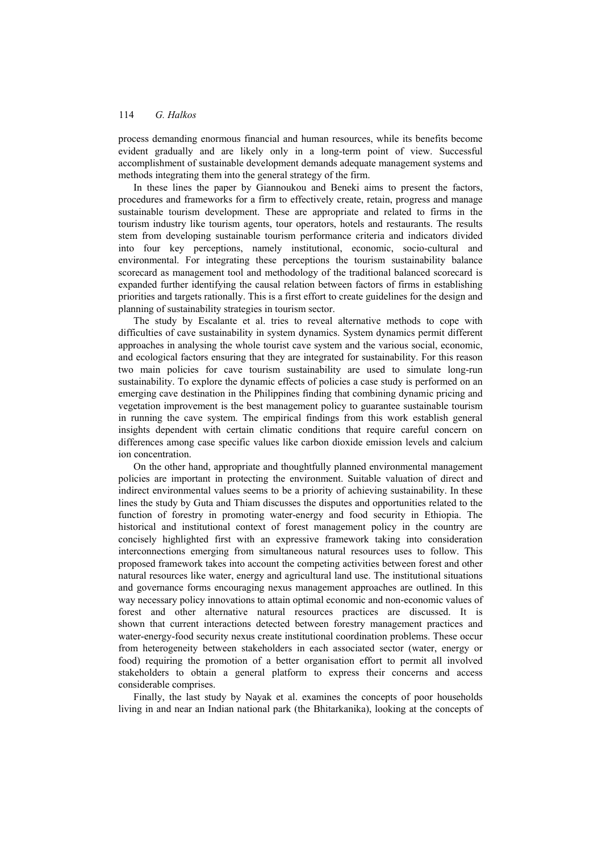#### 114 *G. Halkos*

process demanding enormous financial and human resources, while its benefits become evident gradually and are likely only in a long-term point of view. Successful accomplishment of sustainable development demands adequate management systems and methods integrating them into the general strategy of the firm.

In these lines the paper by Giannoukou and Beneki aims to present the factors, procedures and frameworks for a firm to effectively create, retain, progress and manage sustainable tourism development. These are appropriate and related to firms in the tourism industry like tourism agents, tour operators, hotels and restaurants. The results stem from developing sustainable tourism performance criteria and indicators divided into four key perceptions, namely institutional, economic, socio-cultural and environmental. For integrating these perceptions the tourism sustainability balance scorecard as management tool and methodology of the traditional balanced scorecard is expanded further identifying the causal relation between factors of firms in establishing priorities and targets rationally. This is a first effort to create guidelines for the design and planning of sustainability strategies in tourism sector.

The study by Escalante et al. tries to reveal alternative methods to cope with difficulties of cave sustainability in system dynamics. System dynamics permit different approaches in analysing the whole tourist cave system and the various social, economic, and ecological factors ensuring that they are integrated for sustainability. For this reason two main policies for cave tourism sustainability are used to simulate long-run sustainability. To explore the dynamic effects of policies a case study is performed on an emerging cave destination in the Philippines finding that combining dynamic pricing and vegetation improvement is the best management policy to guarantee sustainable tourism in running the cave system. The empirical findings from this work establish general insights dependent with certain climatic conditions that require careful concern on differences among case specific values like carbon dioxide emission levels and calcium ion concentration.

On the other hand, appropriate and thoughtfully planned environmental management policies are important in protecting the environment. Suitable valuation of direct and indirect environmental values seems to be a priority of achieving sustainability. In these lines the study by Guta and Thiam discusses the disputes and opportunities related to the function of forestry in promoting water-energy and food security in Ethiopia. The historical and institutional context of forest management policy in the country are concisely highlighted first with an expressive framework taking into consideration interconnections emerging from simultaneous natural resources uses to follow. This proposed framework takes into account the competing activities between forest and other natural resources like water, energy and agricultural land use. The institutional situations and governance forms encouraging nexus management approaches are outlined. In this way necessary policy innovations to attain optimal economic and non-economic values of forest and other alternative natural resources practices are discussed. It is shown that current interactions detected between forestry management practices and water-energy-food security nexus create institutional coordination problems. These occur from heterogeneity between stakeholders in each associated sector (water, energy or food) requiring the promotion of a better organisation effort to permit all involved stakeholders to obtain a general platform to express their concerns and access considerable comprises.

Finally, the last study by Nayak et al. examines the concepts of poor households living in and near an Indian national park (the Bhitarkanika), looking at the concepts of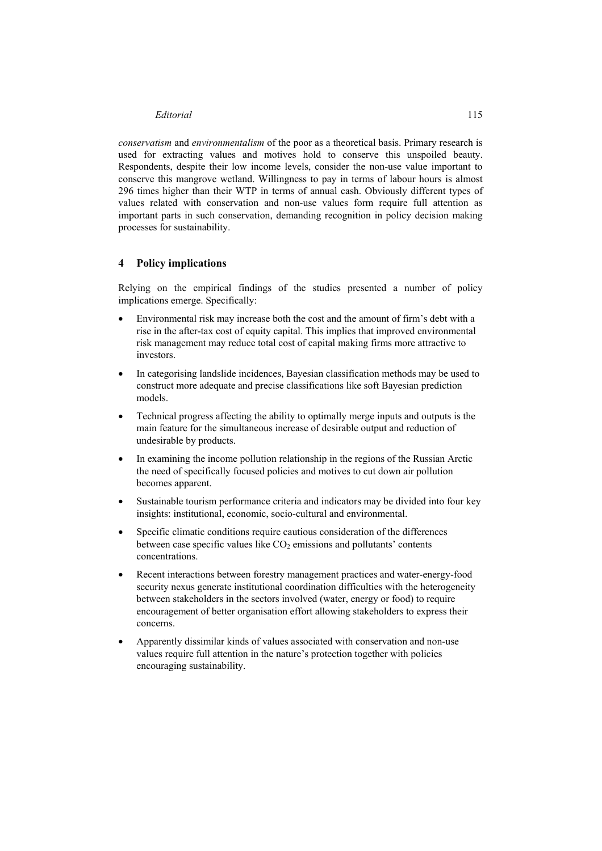#### *Editorial* 115

*conservatism* and *environmentalism* of the poor as a theoretical basis. Primary research is used for extracting values and motives hold to conserve this unspoiled beauty. Respondents, despite their low income levels, consider the non-use value important to conserve this mangrove wetland. Willingness to pay in terms of labour hours is almost 296 times higher than their WTP in terms of annual cash. Obviously different types of values related with conservation and non-use values form require full attention as important parts in such conservation, demanding recognition in policy decision making processes for sustainability.

### **4 Policy implications**

Relying on the empirical findings of the studies presented a number of policy implications emerge. Specifically:

- Environmental risk may increase both the cost and the amount of firm's debt with a rise in the after-tax cost of equity capital. This implies that improved environmental risk management may reduce total cost of capital making firms more attractive to investors.
- In categorising landslide incidences, Bayesian classification methods may be used to construct more adequate and precise classifications like soft Bayesian prediction models.
- Technical progress affecting the ability to optimally merge inputs and outputs is the main feature for the simultaneous increase of desirable output and reduction of undesirable by products.
- In examining the income pollution relationship in the regions of the Russian Arctic the need of specifically focused policies and motives to cut down air pollution becomes apparent.
- Sustainable tourism performance criteria and indicators may be divided into four key insights: institutional, economic, socio-cultural and environmental.
- Specific climatic conditions require cautious consideration of the differences between case specific values like  $CO<sub>2</sub>$  emissions and pollutants' contents concentrations.
- Recent interactions between forestry management practices and water-energy-food security nexus generate institutional coordination difficulties with the heterogeneity between stakeholders in the sectors involved (water, energy or food) to require encouragement of better organisation effort allowing stakeholders to express their concerns.
- Apparently dissimilar kinds of values associated with conservation and non-use values require full attention in the nature's protection together with policies encouraging sustainability.